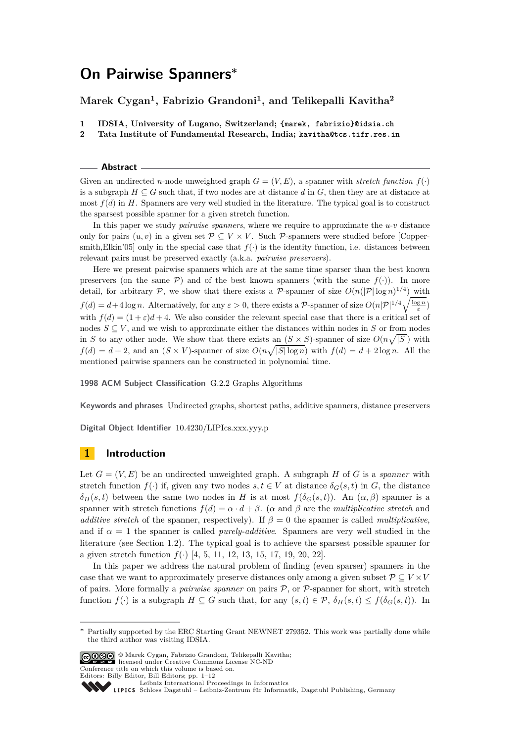# **On Pairwise Spanners<sup>∗</sup>**

# **Marek Cygan<sup>1</sup> , Fabrizio Grandoni<sup>1</sup> , and Telikepalli Kavitha<sup>2</sup>**

- **1 IDSIA, University of Lugano, Switzerland; {marek, fabrizio}@idsia.ch**
- **2 Tata Institute of Fundamental Research, India; kavitha@tcs.tifr.res.in**

#### **Abstract**

Given an undirected *n*-node unweighted graph  $G = (V, E)$ , a spanner with *stretch function*  $f(\cdot)$ is a subgraph  $H \subseteq G$  such that, if two nodes are at distance *d* in *G*, then they are at distance at most *f*(*d*) in *H*. Spanners are very well studied in the literature. The typical goal is to construct the sparsest possible spanner for a given stretch function.

In this paper we study *pairwise spanners*, where we require to approximate the  $u$ - $v$  distance only for pairs  $(u, v)$  in a given set  $\mathcal{P} \subseteq V \times V$ . Such  $\mathcal{P}$ -spanners were studied before [Coppersmith, Elkin'05] only in the special case that  $f(\cdot)$  is the identity function, i.e. distances between relevant pairs must be preserved exactly (a.k.a. *pairwise preservers*).

Here we present pairwise spanners which are at the same time sparser than the best known preservers (on the same  $\mathcal{P}$ ) and of the best known spanners (with the same  $f(.)$ ). In more detail, for arbitrary P, we show that there exists a P-spanner of size  $O(n(|P|\log n)^{1/4})$  with  $f(d) = d + 4 \log n$ . Alternatively, for any  $\varepsilon > 0$ , there exists a P-spanner of size  $O(n|\mathcal{P}|^{1/4}\sqrt{\frac{\log n}{\varepsilon}})$ with  $f(d) = (1 + \varepsilon)d + 4$ . We also consider the relevant special case that there is a critical set of nodes  $S \subseteq V$ , and we wish to approximate either the distances within nodes in *S* or from nodes in *S* to any other node. We show that there exists an  $(S \times S)$ -spanner of size  $O(n\sqrt{|S|})$  with  $f(d) = d + 2$ , and an  $(S \times V)$ -spanner of size  $O(n\sqrt{|S|\log n})$  with  $f(d) = d + 2\log n$ . All the mentioned pairwise spanners can be constructed in polynomial time.

**1998 ACM Subject Classification** G.2.2 Graphs Algorithms

**Keywords and phrases** Undirected graphs, shortest paths, additive spanners, distance preservers

**Digital Object Identifier** [10.4230/LIPIcs.xxx.yyy.p](http://dx.doi.org/10.4230/LIPIcs.xxx.yyy.p)

# **1 Introduction**

Let  $G = (V, E)$  be an undirected unweighted graph. A subgraph *H* of *G* is a *spanner* with stretch function  $f(\cdot)$  if, given any two nodes  $s, t \in V$  at distance  $\delta_G(s, t)$  in *G*, the distance *δ*<sub>*H*</sub>(*s, t*) between the same two nodes in *H* is at most  $f(\delta_G(s,t))$ . An  $(α, β)$  spanner is a spanner with stretch functions  $f(d) = \alpha \cdot d + \beta$ . ( $\alpha$  and  $\beta$  are the *multiplicative stretch* and *additive stretch* of the spanner, respectively). If  $\beta = 0$  the spanner is called *multiplicative*, and if  $\alpha = 1$  the spanner is called *purely-additive*. Spanners are very well studied in the literature (see Section [1.2\)](#page-2-0). The typical goal is to achieve the sparsest possible spanner for a given stretch function *f*(·) [\[4,](#page-11-0) [5,](#page-11-1) [11,](#page-11-2) [12,](#page-11-3) [13,](#page-11-4) [15,](#page-11-5) [17,](#page-11-6) [19,](#page-11-7) [20,](#page-11-8) [22\]](#page-11-9).

In this paper we address the natural problem of finding (even sparser) spanners in the case that we want to approximately preserve distances only among a given subset  $\mathcal{P} \subseteq V \times V$ of pairs. More formally a *pairwise spanner* on pairs P, or P-spanner for short, with stretch function  $f(\cdot)$  is a subgraph  $H \subseteq G$  such that, for any  $(s,t) \in \mathcal{P}$ ,  $\delta_H(s,t) \leq f(\delta_G(s,t))$ . In

© Marek Cygan, Fabrizio Grandoni, Telikepalli Kavitha; licensed under Creative Commons License NC-ND

Conference title on which this volume is based on.

```
Editors: Billy Editor, Bill Editors; pp. 1–12
      Leibniz International Proceedings in Informatics
```
Leibniz international Froceedings in missimosischer Magstuhl Publishing, Germany<br>LIPICS [Schloss Dagstuhl – Leibniz-Zentrum für Informatik, Dagstuhl Publishing, Germany](http://www.dagstuhl.de)



**<sup>∗</sup>** Partially supported by the ERC Starting Grant NEWNET 279352. This work was partially done while the third author was visiting IDSIA.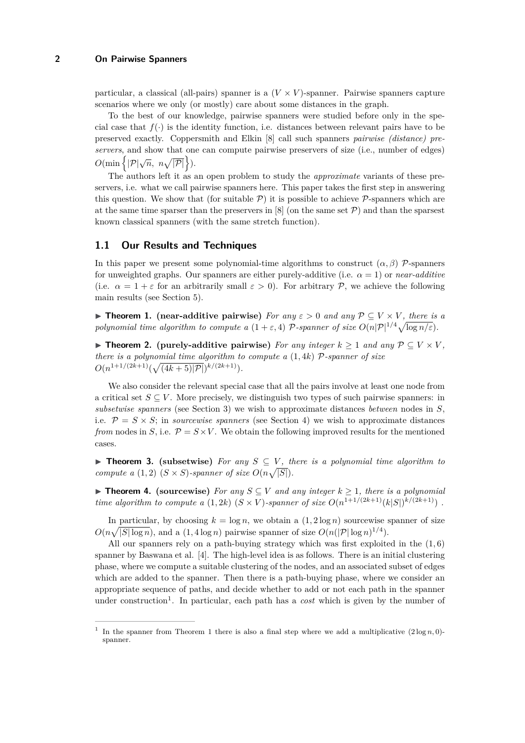particular, a classical (all-pairs) spanner is a  $(V \times V)$ -spanner. Pairwise spanners capture scenarios where we only (or mostly) care about some distances in the graph.

To the best of our knowledge, pairwise spanners were studied before only in the special case that  $f(\cdot)$  is the identity function, i.e. distances between relevant pairs have to be preserved exactly. Coppersmith and Elkin [\[8\]](#page-11-11) call such spanners *pairwise (distance) preservers*, and show that one can compute pairwise preservers of size (i.e., number of edges)  $O(\min\left\{|\mathcal{P}|\sqrt{n}, n\sqrt{|\mathcal{P}|}\right\}).$ 

The authors left it as an open problem to study the *approximate* variants of these preservers, i.e. what we call pairwise spanners here. This paper takes the first step in answering this question. We show that (for suitable  $P$ ) it is possible to achieve  $P$ -spanners which are at the same time sparser than the preservers in [\[8\]](#page-11-11) (on the same set  $\mathcal{P}$ ) and than the sparsest known classical spanners (with the same stretch function).

# **1.1 Our Results and Techniques**

In this paper we present some polynomial-time algorithms to construct  $(\alpha, \beta)$  P-spanners for unweighted graphs. Our spanners are either purely-additive (i.e.  $\alpha = 1$ ) or *near-additive* (i.e.  $\alpha = 1 + \varepsilon$  for an arbitrarily small  $\varepsilon > 0$ ). For arbitrary P, we achieve the following main results (see Section [5\)](#page-7-0).

<span id="page-1-0"></span>**► Theorem 1.** (near-additive pairwise) *For any*  $\varepsilon > 0$  *and any*  $\mathcal{P} \subseteq V \times V$ *, there is a polynomial time algorithm to compute a*  $(1 + \varepsilon, 4)$  *P*-spanner of size  $O(n|\mathcal{P}|^{1/4}\sqrt{\log n/\varepsilon})$ .

<span id="page-1-2"></span>▶ **Theorem 2.** (purely-additive pairwise) *For any integer*  $k \ge 1$  *and any*  $P \subseteq V \times V$ , *there is a polynomial time algorithm to compute a* (1*,* 4*k*) P*-spanner of size*  $O(n^{1+1/(2k+1)}(\sqrt{(4k+5)|P|})^{k/(2k+1)}).$ 

We also consider the relevant special case that all the pairs involve at least one node from a critical set  $S \subseteq V$ . More precisely, we distinguish two types of such pairwise spanners: in *subsetwise spanners* (see Section [3\)](#page-4-0) we wish to approximate distances *between* nodes in *S*, i.e.  $\mathcal{P} = S \times S$ ; in *sourcewise spanners* (see Section [4\)](#page-5-0) we wish to approximate distances *from* nodes in *S*, i.e.  $\mathcal{P} = S \times V$ . We obtain the following improved results for the mentioned cases.

<span id="page-1-1"></span>**► Theorem 3.** (subsetwise) For any  $S \subseteq V$ , there is a polynomial time algorithm to *compute a* (1,2)  $(S \times S)$ -spanner of size  $O(n\sqrt{|S|})$ .

<span id="page-1-3"></span>▶ **Theorem 4.** (sourcewise) *For any*  $S ⊆ V$  *and any integer*  $k ≥ 1$ *, there is a polynomial time algorithm to compute a*  $(1, 2k)$   $(S \times V)$ *-spanner of size*  $O(n^{1+1/(2k+1)}(k|S|)^{k/(2k+1)})$ .

In particular, by choosing  $k = \log n$ , we obtain a  $(1, 2 \log n)$  sourcewise spanner of size  $O(n\sqrt{|S|\log n})$ , and a  $(1, 4\log n)$  pairwise spanner of size  $O(n(|P|\log n)^{1/4})$ .

All our spanners rely on a path-buying strategy which was first exploited in the (1*,* 6) spanner by Baswana et al. [\[4\]](#page-11-0). The high-level idea is as follows. There is an initial clustering phase, where we compute a suitable clustering of the nodes, and an associated subset of edges which are added to the spanner. Then there is a path-buying phase, where we consider an appropriate sequence of paths, and decide whether to add or not each path in the spanner under construction<sup>1</sup>. In particular, each path has a *cost* which is given by the number of

<sup>&</sup>lt;sup>1</sup> In the spanner from Theorem [1](#page-1-0) there is also a final step where we add a multiplicative  $(2 \log n, 0)$ spanner.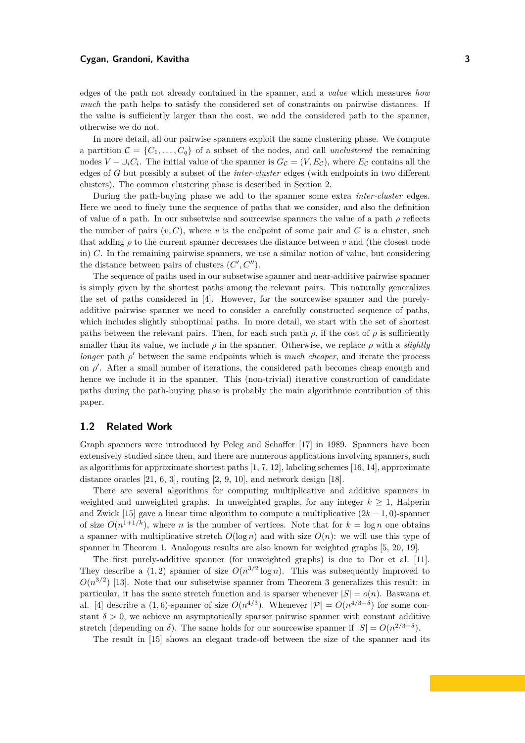#### **Cygan, Grandoni, Kavitha 3**

edges of the path not already contained in the spanner, and a *value* which measures *how much* the path helps to satisfy the considered set of constraints on pairwise distances. If the value is sufficiently larger than the cost, we add the considered path to the spanner, otherwise we do not.

In more detail, all our pairwise spanners exploit the same clustering phase. We compute a partition  $\mathcal{C} = \{C_1, \ldots, C_q\}$  of a subset of the nodes, and call *unclustered* the remaining nodes  $V - \cup_i C_i$ . The initial value of the spanner is  $G_{\mathcal{C}} = (V, E_{\mathcal{C}})$ , where  $E_{\mathcal{C}}$  contains all the edges of *G* but possibly a subset of the *inter-cluster* edges (with endpoints in two different clusters). The common clustering phase is described in Section [2.](#page-3-0)

During the path-buying phase we add to the spanner some extra *inter-cluster* edges. Here we need to finely tune the sequence of paths that we consider, and also the definition of value of a path. In our subsetwise and sourcewise spanners the value of a path  $\rho$  reflects the number of pairs  $(v, C)$ , where *v* is the endpoint of some pair and *C* is a cluster, such that adding  $\rho$  to the current spanner decreases the distance between *v* and (the closest node in) *C*. In the remaining pairwise spanners, we use a similar notion of value, but considering the distance between pairs of clusters  $(C', C'')$ .

The sequence of paths used in our subsetwise spanner and near-additive pairwise spanner is simply given by the shortest paths among the relevant pairs. This naturally generalizes the set of paths considered in [\[4\]](#page-11-0). However, for the sourcewise spanner and the purelyadditive pairwise spanner we need to consider a carefully constructed sequence of paths, which includes slightly suboptimal paths. In more detail, we start with the set of shortest paths between the relevant pairs. Then, for each such path  $\rho$ , if the cost of  $\rho$  is sufficiently smaller than its value, we include  $\rho$  in the spanner. Otherwise, we replace  $\rho$  with a *slightly longer* path  $\rho'$  between the same endpoints which is *much cheaper*, and iterate the process on  $\rho'$ . After a small number of iterations, the considered path becomes cheap enough and hence we include it in the spanner. This (non-trivial) iterative construction of candidate paths during the path-buying phase is probably the main algorithmic contribution of this paper.

### <span id="page-2-0"></span>**1.2 Related Work**

Graph spanners were introduced by Peleg and Schaffer [\[17\]](#page-11-6) in 1989. Spanners have been extensively studied since then, and there are numerous applications involving spanners, such as algorithms for approximate shortest paths  $[1, 7, 12]$  $[1, 7, 12]$  $[1, 7, 12]$ , labeling schemes  $[16, 14]$  $[16, 14]$ , approximate distance oracles  $[21, 6, 3]$  $[21, 6, 3]$  $[21, 6, 3]$ , routing  $[2, 9, 10]$  $[2, 9, 10]$  $[2, 9, 10]$ , and network design  $[18]$ .

There are several algorithms for computing multiplicative and additive spanners in weighted and unweighted graphs. In unweighted graphs, for any integer  $k \geq 1$ , Halperin and Zwick [\[15\]](#page-11-5) gave a linear time algorithm to compute a multiplicative  $(2k - 1, 0)$ -spanner of size  $O(n^{1+1/k})$ , where *n* is the number of vertices. Note that for  $k = \log n$  one obtains a spanner with multiplicative stretch  $O(\log n)$  and with size  $O(n)$ : we will use this type of spanner in Theorem [1.](#page-1-0) Analogous results are also known for weighted graphs [\[5,](#page-11-1) [20,](#page-11-8) [19\]](#page-11-7).

The first purely-additive spanner (for unweighted graphs) is due to Dor et al. [\[11\]](#page-11-2). They describe a  $(1, 2)$  spanner of size  $O(n^{3/2} \log n)$ . This was subsequently improved to  $O(n^{3/2})$  [\[13\]](#page-11-4). Note that our subsetwise spanner from Theorem [3](#page-1-1) generalizes this result: in particular, it has the same stretch function and is sparser whenever  $|S| = o(n)$ . Baswana et al. [\[4\]](#page-11-0) describe a (1,6)-spanner of size  $O(n^{4/3})$ . Whenever  $|\mathcal{P}| = O(n^{4/3-\delta})$  for some constant  $\delta > 0$ , we achieve an asymptotically sparser pairwise spanner with constant additive stretch (depending on  $\delta$ ). The same holds for our sourcewise spanner if  $|S| = O(n^{2/3-\delta})$ .

The result in [\[15\]](#page-11-5) shows an elegant trade-off between the size of the spanner and its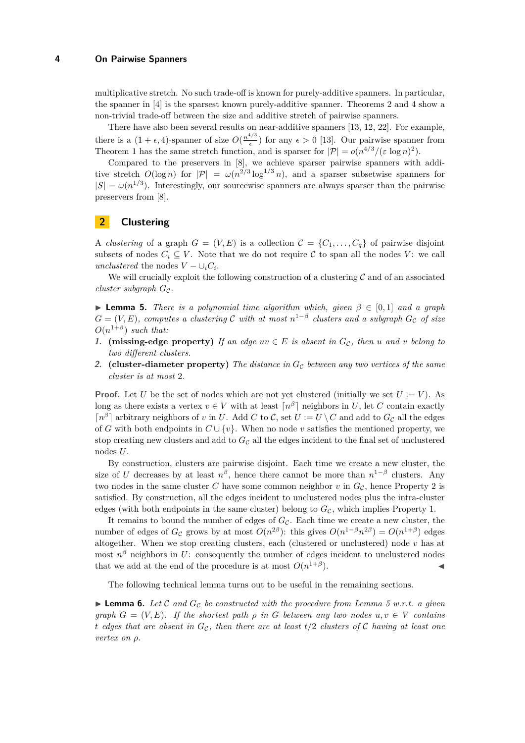multiplicative stretch. No such trade-off is known for purely-additive spanners. In particular, the spanner in [\[4\]](#page-11-0) is the sparsest known purely-additive spanner. Theorems [2](#page-1-2) and [4](#page-1-3) show a non-trivial trade-off between the size and additive stretch of pairwise spanners.

There have also been several results on near-additive spanners [\[13,](#page-11-4) [12,](#page-11-3) [22\]](#page-11-9). For example, there is a  $(1 + \epsilon, 4)$ -spanner of size  $O(\frac{n^{4/3}}{\epsilon})$  $\frac{\epsilon}{\epsilon}$ ) for any  $\epsilon > 0$  [\[13\]](#page-11-4). Our pairwise spanner from Theorem [1](#page-1-0) has the same stretch function, and is sparser for  $|\mathcal{P}| = o(n^{4/3}/(\varepsilon \log n)^2)$ .

Compared to the preservers in [\[8\]](#page-11-11), we achieve sparser pairwise spanners with additive stretch  $O(\log n)$  for  $|\mathcal{P}| = \omega(n^{2/3} \log^{1/3} n)$ , and a sparser subsetwise spanners for  $|S| = \omega(n^{1/3})$ . Interestingly, our sourcewise spanners are always sparser than the pairwise preservers from [\[8\]](#page-11-11).

# <span id="page-3-0"></span>**2 Clustering**

A *clustering* of a graph  $G = (V, E)$  is a collection  $\mathcal{C} = \{C_1, \ldots, C_q\}$  of pairwise disjoint subsets of nodes  $C_i \subseteq V$ . Note that we do not require  $\mathcal C$  to span all the nodes  $V$ : we call *unclustered* the nodes  $V - \bigcup_i C_i$ .

We will crucially exploit the following construction of a clustering  $\mathcal C$  and of an associated  $cluster$  *subgraph*  $G_{\mathcal{C}}$ .

<span id="page-3-3"></span>**Lemma 5.** *There is a polynomial time algorithm which, given*  $\beta \in [0,1]$  *and a graph*  $G = (V, E)$ , computes a clustering  $C$  with at most  $n^{1-\beta}$  clusters and a subgraph  $G_{\mathcal{C}}$  of size  $O(n^{1+\beta})$  *such that:* 

- <span id="page-3-2"></span>**1. (missing-edge property)** *If an edge*  $uv \in E$  *is absent in*  $G_c$ *, then u and v belong to two different clusters.*
- <span id="page-3-1"></span>**2. (cluster-diameter property)** *The distance in*  $G<sub>C</sub>$  *between any two vertices of the same cluster is at most* 2*.*

**Proof.** Let *U* be the set of nodes which are not yet clustered (initially we set  $U := V$ ). As long as there exists a vertex  $v \in V$  with at least  $\lceil n^{\beta} \rceil$  neighbors in *U*, let *C* contain exactly  $\lceil n^{\beta} \rceil$  arbitrary neighbors of *v* in *U*. Add *C* to *C*, set  $U := U \setminus C$  and add to  $G_{\mathcal{C}}$  all the edges of *G* with both endpoints in  $C \cup \{v\}$ . When no node *v* satisfies the mentioned property, we stop creating new clusters and add to  $G<sub>C</sub>$  all the edges incident to the final set of unclustered nodes *U*.

By construction, clusters are pairwise disjoint. Each time we create a new cluster, the size of *U* decreases by at least  $n^{\beta}$ , hence there cannot be more than  $n^{1-\beta}$  clusters. Any two nodes in the same cluster  $C$  have some common neighbor  $v$  in  $G_{\mathcal{C}}$ , hence Property [2](#page-3-1) is satisfied. By construction, all the edges incident to unclustered nodes plus the intra-cluster edges (with both endpoints in the same cluster) belong to  $G_{\mathcal{C}}$ , which implies Property [1.](#page-3-2)

It remains to bound the number of edges of  $G_{\mathcal{C}}$ . Each time we create a new cluster, the number of edges of  $G_{\mathcal{C}}$  grows by at most  $O(n^{2\beta})$ : this gives  $O(n^{1-\beta}n^{2\beta}) = O(n^{1+\beta})$  edges altogether. When we stop creating clusters, each (clustered or unclustered) node  $v$  has at most  $n^{\beta}$  neighbors in *U*: consequently the number of edges incident to unclustered nodes that we add at the end of the procedure is at most  $O(n^{1+\beta})$  $\blacksquare$ ).

The following technical lemma turns out to be useful in the remaining sections.

<span id="page-3-4"></span> $\blacktriangleright$  **Lemma 6.** Let C and  $G_c$  be constructed with the procedure from Lemma [5](#page-3-3) w.r.t. a given *graph*  $G = (V, E)$ *. If the shortest path*  $\rho$  *in*  $G$  *between any two nodes*  $u, v \in V$  *contains t* edges that are absent in  $G_c$ , then there are at least  $t/2$  *clusters of* C *having at least one vertex on ρ.*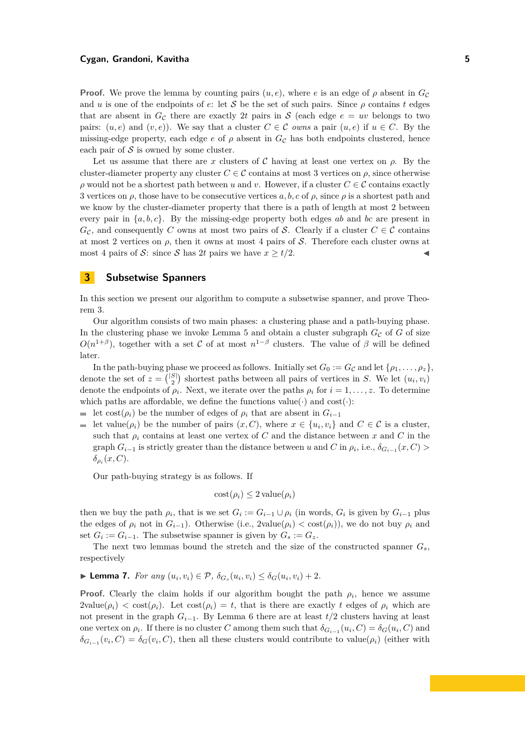#### **Cygan, Grandoni, Kavitha 5**

**Proof.** We prove the lemma by counting pairs  $(u, e)$ , where *e* is an edge of  $\rho$  absent in  $G_c$ and *u* is one of the endpoints of *e*: let S be the set of such pairs. Since  $\rho$  contains *t* edges that are absent in  $G_c$  there are exactly 2t pairs in S (each edge  $e = uv$  belongs to two pairs:  $(u, e)$  and  $(v, e)$ ). We say that a cluster  $C \in \mathcal{C}$  *owns* a pair  $(u, e)$  if  $u \in C$ . By the missing-edge property, each edge  $e$  of  $\rho$  absent in  $G<sub>C</sub>$  has both endpoints clustered, hence each pair of  $S$  is owned by some cluster.

Let us assume that there are *x* clusters of  $\mathcal C$  having at least one vertex on  $\rho$ . By the cluster-diameter property any cluster  $C \in \mathcal{C}$  contains at most 3 vertices on  $\rho$ , since otherwise  $\rho$  would not be a shortest path between *u* and *v*. However, if a cluster  $C \in \mathcal{C}$  contains exactly 3 vertices on  $\rho$ , those have to be consecutive vertices  $a, b, c$  of  $\rho$ , since  $\rho$  is a shortest path and we know by the cluster-diameter property that there is a path of length at most 2 between every pair in {*a, b, c*}. By the missing-edge property both edges *ab* and *bc* are present in  $G_c$ , and consequently *C* owns at most two pairs of S. Clearly if a cluster  $C \in \mathcal{C}$  contains at most 2 vertices on  $\rho$ , then it owns at most 4 pairs of S. Therefore each cluster owns at most 4 pairs of S: since S has 2t pairs we have  $x \geq t/2$ .

## <span id="page-4-0"></span>**3 Subsetwise Spanners**

In this section we present our algorithm to compute a subsetwise spanner, and prove Theorem [3.](#page-1-1)

Our algorithm consists of two main phases: a clustering phase and a path-buying phase. In the clustering phase we invoke Lemma [5](#page-3-3) and obtain a cluster subgraph  $G_{\mathcal{C}}$  of  $G$  of size  $O(n^{1+\beta})$ , together with a set C of at most  $n^{1-\beta}$  clusters. The value of  $\beta$  will be defined later.

In the path-buying phase we proceed as follows. Initially set  $G_0 := G_{\mathcal{C}}$  and let  $\{\rho_1, \ldots, \rho_z\}$ , denote the set of  $z = \binom{|S|}{2}$  shortest paths between all pairs of vertices in *S*. We let  $(u_i, v_i)$ denote the endpoints of  $\rho_i$ . Next, we iterate over the paths  $\rho_i$  for  $i = 1, \ldots, z$ . To determine which paths are affordable, we define the functions value( $\cdot$ ) and cost( $\cdot$ ):

```
let cost(\rho_i) be the number of edges of \rho_i that are absent in G_{i-1}
```
let value( $\rho_i$ ) be the number of pairs  $(x, C)$ , where  $x \in \{u_i, v_i\}$  and  $C \in \mathcal{C}$  is a cluster, such that  $\rho_i$  contains at least one vertex of C and the distance between x and C in the graph  $G_{i-1}$  is strictly greater than the distance between *u* and *C* in  $\rho_i$ , i.e.,  $\delta_{G_{i-1}}(x, C)$  > *δρi* (*x, C*).

Our path-buying strategy is as follows. If

$$
cost(\rho_i) \le 2 \, value(\rho_i)
$$

then we buy the path  $\rho_i$ , that is we set  $G_i := G_{i-1} \cup \rho_i$  (in words,  $G_i$  is given by  $G_{i-1}$  plus the edges of  $\rho_i$  not in  $G_{i-1}$ ). Otherwise (i.e., 2value( $\rho_i$ ) < cost( $\rho_i$ )), we do not buy  $\rho_i$  and set  $G_i := G_{i-1}$ . The subsetwise spanner is given by  $G_s := G_z$ .

The next two lemmas bound the stretch and the size of the constructed spanner *Gs*, respectively

<span id="page-4-1"></span>► **Lemma 7.** *For any*  $(u_i, v_i) \in \mathcal{P}, \ \delta_{G_s}(u_i, v_i) \leq \delta_G(u_i, v_i) + 2$ .

**Proof.** Clearly the claim holds if our algorithm bought the path  $\rho_i$ , hence we assume  $2$ value( $\rho_i$ )  $\lt$  cost( $\rho_i$ ). Let cost( $\rho_i$ ) = *t*, that is there are exactly *t* edges of  $\rho_i$  which are not present in the graph *Gi*−1. By Lemma [6](#page-3-4) there are at least *t/*2 clusters having at least one vertex on  $\rho_i$ . If there is no cluster *C* among them such that  $\delta_{G_{i-1}}(u_i, C) = \delta_G(u_i, C)$  and  $\delta_{G_{i-1}}(v_i, C) = \delta_G(v_i, C)$ , then all these clusters would contribute to value( $\rho_i$ ) (either with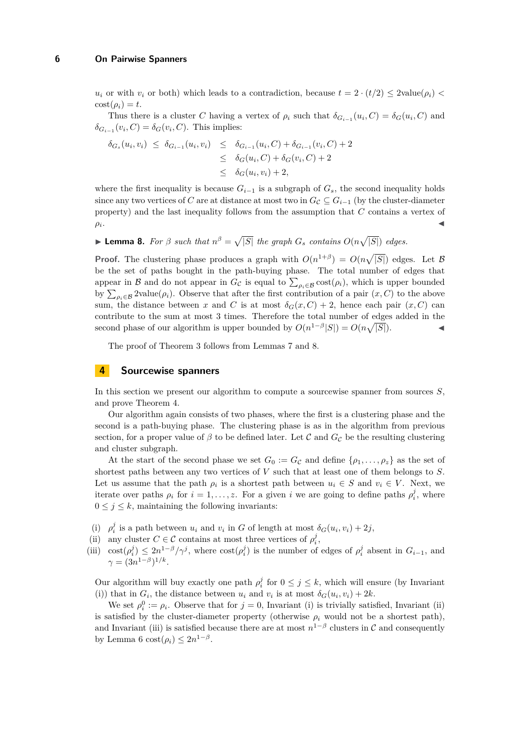*u<sub>i</sub>* or with *v<sub>i</sub>* or both) which leads to a contradiction, because  $t = 2 \cdot (t/2) \leq 2$ value(*ρ<sub>i</sub>*)  $\leq$  $\cot(\rho_i) = t$ .

Thus there is a cluster *C* having a vertex of  $\rho_i$  such that  $\delta_{G_i-1}(u_i, C) = \delta_G(u_i, C)$  and  $\delta_{G_{i-1}}(v_i, C) = \delta_G(v_i, C)$ . This implies:

$$
\delta_{G_s}(u_i, v_i) \leq \delta_{G_{i-1}}(u_i, v_i) \leq \delta_{G_{i-1}}(u_i, C) + \delta_{G_{i-1}}(v_i, C) + 2
$$
  
\n
$$
\leq \delta_G(u_i, C) + \delta_G(v_i, C) + 2
$$
  
\n
$$
\leq \delta_G(u_i, v_i) + 2,
$$

where the first inequality is because  $G_{i-1}$  is a subgraph of  $G_s$ , the second inequality holds since any two vertices of *C* are at distance at most two in  $G_c \subseteq G_{i-1}$  (by the cluster-diameter property) and the last inequality follows from the assumption that *C* contains a vertex of  $\rho_i$ . . Jan 1980. aastal ja kuningas kaupungi kalendari kaupungi kaupungi kaupungi kaupungi kaupungi kaupungi kalend<br>Jan 1980. aastal ja kuningas kaupungi kaupungi kaupungi kaupungi kaupungi kaupungi kaupungi kaupungi kaupungi

<span id="page-5-1"></span>**Example 8.** For  $\beta$  such that  $n^{\beta} = \sqrt{|S|}$  the graph  $G_s$  contains  $O(n\sqrt{|S|})$  edges.

**Proof.** The clustering phase produces a graph with  $O(n^{1+\beta}) = O(n\sqrt{|S|})$  edges. Let B be the set of paths bought in the path-buying phase. The total number of edges that appear in  $\mathcal{B}$  and do not appear in  $G_{\mathcal{C}}$  is equal to  $\sum_{\rho_i \in \mathcal{B}} \text{cost}(\rho_i)$ , which is upper bounded by  $\sum_{\rho_i \in \mathcal{B}} 2$ value $(\rho_i)$ . Observe that after the first contribution of a pair  $(x, C)$  to the above sum, the distance between *x* and *C* is at most  $\delta_G(x, C) + 2$ , hence each pair  $(x, C)$  can contribute to the sum at most 3 times. Therefore the total number of edges added in the second phase of our algorithm is upper bounded by  $O(n^{1-\beta}|S|) = O(n\sqrt{|S|})$ .

The proof of Theorem [3](#page-1-1) follows from Lemmas [7](#page-4-1) and [8.](#page-5-1)

# <span id="page-5-0"></span>**4 Sourcewise spanners**

In this section we present our algorithm to compute a sourcewise spanner from sources *S*, and prove Theorem [4.](#page-1-3)

Our algorithm again consists of two phases, where the first is a clustering phase and the second is a path-buying phase. The clustering phase is as in the algorithm from previous section, for a proper value of  $\beta$  to be defined later. Let C and  $G_{\mathcal{C}}$  be the resulting clustering and cluster subgraph.

At the start of the second phase we set  $G_0 := G_{\mathcal{C}}$  and define  $\{\rho_1, \ldots, \rho_z\}$  as the set of shortest paths between any two vertices of *V* such that at least one of them belongs to *S*. Let us assume that the path  $\rho_i$  is a shortest path between  $u_i \in S$  and  $v_i \in V$ . Next, we iterate over paths  $\rho_i$  for  $i = 1, \ldots, z$ . For a given *i* we are going to define paths  $\rho_i^j$ , where  $0 \leq j \leq k$ , maintaining the following invariants:

- (i)  $\rho_i^j$  is a path between  $u_i$  and  $v_i$  in *G* of length at most  $\delta_G(u_i, v_i) + 2j$ ,
- (ii) any cluster  $C \in \mathcal{C}$  contains at most three vertices of  $\rho_i^j$ ,
- (iii)  $\cot(\rho_i^j) \leq 2n^{1-\beta}/\gamma^j$ , where  $\cot(\rho_i^j)$  is the number of edges of  $\rho_i^j$  absent in  $G_{i-1}$ , and  $\gamma = (3n^{1-\beta})^{1/k}.$

Our algorithm will buy exactly one path  $\rho_i^j$  for  $0 \leq j \leq k$ , which will ensure (by Invariant (i)) that in  $G_i$ , the distance between  $u_i$  and  $v_i$  is at most  $\delta_G(u_i, v_i) + 2k$ .

We set  $\rho_i^0 := \rho_i$ . Observe that for  $j = 0$ , Invariant (i) is trivially satisfied, Invariant (ii) is satisfied by the cluster-diameter property (otherwise  $\rho_i$  would not be a shortest path), and Invariant (iii) is satisfied because there are at most  $n^{1-\beta}$  clusters in C and consequently by Lemma [6](#page-3-4) cost $(\rho_i) \leq 2n^{1-\beta}$ .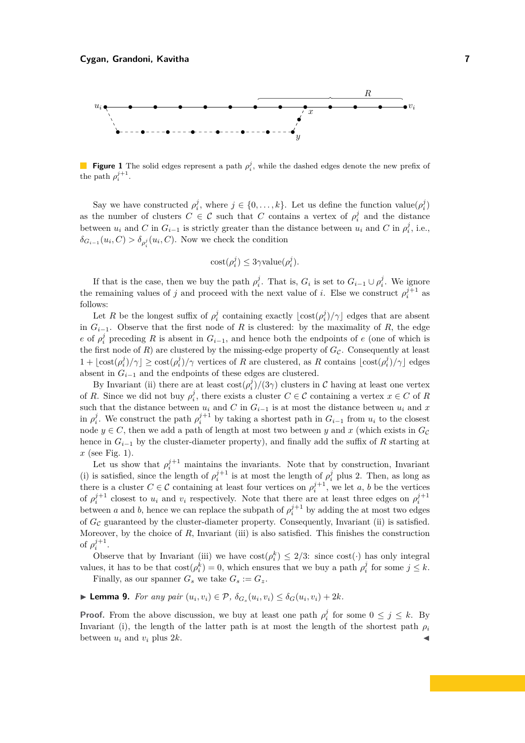<span id="page-6-0"></span>

**Figure 1** The solid edges represent a path  $\rho_i^j$ , while the dashed edges denote the new prefix of the path  $\rho_i^{j+1}$ .

Say we have constructed  $\rho_i^j$ , where  $j \in \{0, \ldots, k\}$ . Let us define the function value $(\rho_i^j)$ as the number of clusters  $C \in \mathcal{C}$  such that  $C$  contains a vertex of  $\rho_i^j$  and the distance between  $u_i$  and *C* in  $G_{i-1}$  is strictly greater than the distance between  $u_i$  and *C* in  $\rho_i^j$ , i.e.,  $\delta_{G_{i-1}}(u_i, C) > \delta_{\rho_i^j}(u_i, C)$ . Now we check the condition

$$
cost(\rho_i^j) \le 3\gamma value(\rho_i^j).
$$

If that is the case, then we buy the path  $\rho_i^j$ . That is,  $G_i$  is set to  $G_{i-1} \cup \rho_i^j$ . We ignore the remaining values of *j* and proceed with the next value of *i*. Else we construct  $\rho_i^{j+1}$  as follows:

Let *R* be the longest suffix of  $\rho_i^j$  containing exactly  $\lfloor \text{cost}(\rho_i^j)/\gamma \rfloor$  edges that are absent in  $G_{i-1}$ . Observe that the first node of *R* is clustered: by the maximality of *R*, the edge *e* of  $\rho_i^j$  preceding *R* is absent in  $G_{i-1}$ , and hence both the endpoints of *e* (one of which is the first node of  $R$ ) are clustered by the missing-edge property of  $G_{\mathcal{C}}$ . Consequently at least  $1 + \lfloor \cos(\rho_i^j)/\gamma \rfloor \ge \cos(\rho_i^j)/\gamma$  vertices of *R* are clustered, as *R* contains  $\lfloor \cos(\rho_i^j)/\gamma \rfloor$  edges absent in  $G_{i-1}$  and the endpoints of these edges are clustered.

By Invariant (ii) there are at least  $\cos(\rho_i^j)/(3\gamma)$  clusters in C having at least one vertex of *R*. Since we did not buy  $\rho_i^j$ , there exists a cluster  $C \in \mathcal{C}$  containing a vertex  $x \in C$  of *R* such that the distance between  $u_i$  and *C* in  $G_{i-1}$  is at most the distance between  $u_i$  and  $x$ in  $\rho_i^j$ . We construct the path  $\rho_i^{j+1}$  by taking a shortest path in  $G_{i-1}$  from  $u_i$  to the closest node  $y \in C$ , then we add a path of length at most two between y and x (which exists in  $G_C$ ) hence in *Gi*−<sup>1</sup> by the cluster-diameter property), and finally add the suffix of *R* starting at *x* (see Fig. [1\)](#page-6-0).

Let us show that  $\rho_i^{j+1}$  maintains the invariants. Note that by construction, Invariant (i) is satisfied, since the length of  $\rho_i^{j+1}$  is at most the length of  $\rho_i^j$  plus 2. Then, as long as there is a cluster  $C \in \mathcal{C}$  containing at least four vertices on  $\rho_i^{j+1}$ , we let *a*, *b* be the vertices of  $\rho_i^{j+1}$  closest to  $u_i$  and  $v_i$  respectively. Note that there are at least three edges on  $\rho_i^{j+1}$ between *a* and *b*, hence we can replace the subpath of  $\rho_i^{j+1}$  by adding the at most two edges of  $G_{\mathcal{C}}$  guaranteed by the cluster-diameter property. Consequently, Invariant (ii) is satisfied. Moreover, by the choice of *R*, Invariant (iii) is also satisfied. This finishes the construction of  $\rho_i^{j+1}$ .

Observe that by Invariant (iii) we have  $\text{cost}(\rho_i^k) \leq 2/3$ : since  $\text{cost}(\cdot)$  has only integral values, it has to be that  $\cos\left(\rho_i^k\right) = 0$ , which ensures that we buy a path  $\rho_i^j$  for some  $j \leq k$ .

Finally, as our spanner  $G_s$  we take  $G_s := G_z$ .

<span id="page-6-1"></span>**Lemma 9.** For any pair  $(u_i, v_i) \in \mathcal{P}$ ,  $\delta_{G_s}(u_i, v_i) \leq \delta_G(u_i, v_i) + 2k$ .

**Proof.** From the above discussion, we buy at least one path  $\rho_i^j$  for some  $0 \leq j \leq k$ . By Invariant (i), the length of the latter path is at most the length of the shortest path  $\rho_i$ between  $u_i$  and  $v_i$  plus  $2k$ .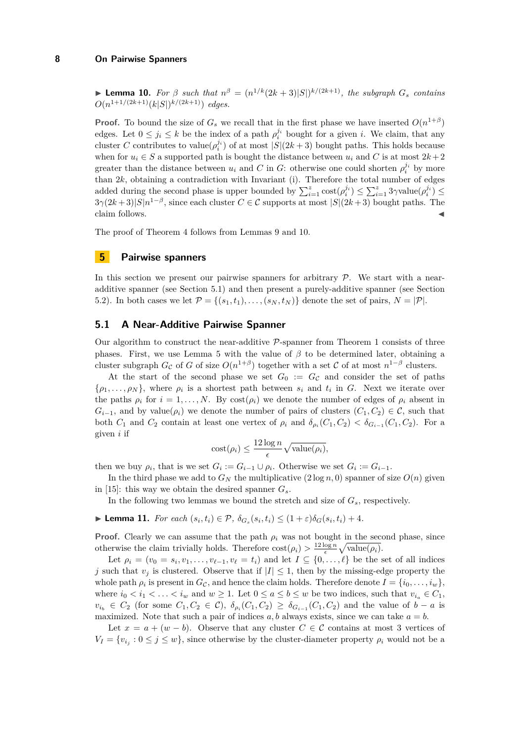<span id="page-7-1"></span>► **Lemma 10.** For  $\beta$  such that  $n^{\beta} = (n^{1/k}(2k+3)|S|)^{k/(2k+1)}$ , the subgraph  $G_s$  contains  $O(n^{1+1/(2k+1)}(k|S|)^{k/(2k+1)})$  *edges.* 

**Proof.** To bound the size of  $G_s$  we recall that in the first phase we have inserted  $O(n^{1+\beta})$ edges. Let  $0 \leq j_i \leq k$  be the index of a path  $\rho_i^{j_i}$  bought for a given *i*. We claim, that any cluster *C* contributes to value $(\rho_i^{j_i})$  of at most  $|S|(2k+3)$  bought paths. This holds because when for  $u_i \in S$  a supported path is bought the distance between  $u_i$  and C is at most  $2k+2$ greater than the distance between  $u_i$  and *C* in *G*: otherwise one could shorten  $\rho_i^{j_i}$  by more than  $2k$ , obtaining a contradiction with Invariant (i). Therefore the total number of edges added during the second phase is upper bounded by  $\sum_{i=1}^{z} \text{cost}(\rho_i^{j_i}) \leq \sum_{i=1}^{z} 3\gamma \text{value}(\rho_i^{j_i}) \leq$  $3\gamma(2k+3)|S|n^{1-\beta}$ , since each cluster  $C \in \mathcal{C}$  supports at most  $|S|(2k+3)$  bought paths. The claim follows.

The proof of Theorem [4](#page-1-3) follows from Lemmas [9](#page-6-1) and [10.](#page-7-1)

## <span id="page-7-0"></span>**5 Pairwise spanners**

In this section we present our pairwise spanners for arbitrary  $P$ . We start with a nearadditive spanner (see Section [5.1\)](#page-7-2) and then present a purely-additive spanner (see Section [5.2\)](#page-8-0). In both cases we let  $\mathcal{P} = \{(s_1, t_1), \ldots, (s_N, t_N)\}\$  denote the set of pairs,  $N = |\mathcal{P}|$ .

### <span id="page-7-2"></span>**5.1 A Near-Additive Pairwise Spanner**

Our algorithm to construct the near-additive  $P$ -spanner from Theorem [1](#page-1-0) consists of three phases. First, we use Lemma [5](#page-3-3) with the value of *β* to be determined later, obtaining a cluster subgraph  $G_{\mathcal{C}}$  of *G* of size  $O(n^{1+\beta})$  together with a set  $\mathcal{C}$  of at most  $n^{1-\beta}$  clusters.

At the start of the second phase we set  $G_0 := G_{\mathcal{C}}$  and consider the set of paths  $\{\rho_1, \ldots, \rho_N\}$ , where  $\rho_i$  is a shortest path between  $s_i$  and  $t_i$  in *G*. Next we iterate over the paths  $\rho_i$  for  $i = 1, ..., N$ . By  $cost(\rho_i)$  we denote the number of edges of  $\rho_i$  absent in  $G_{i-1}$ , and by value( $\rho_i$ ) we denote the number of pairs of clusters ( $C_1, C_2$ )  $\in \mathcal{C}$ , such that both  $C_1$  and  $C_2$  contain at least one vertex of  $\rho_i$  and  $\delta_{\rho_i}(C_1, C_2) < \delta_{G_{i-1}}(C_1, C_2)$ . For a given *i* if

$$
cost(\rho_i) \le \frac{12\log n}{\epsilon} \sqrt{\text{value}(\rho_i)},
$$

then we buy  $\rho_i$ , that is we set  $G_i := G_{i-1} \cup \rho_i$ . Otherwise we set  $G_i := G_{i-1}$ .

In the third phase we add to  $G_N$  the multiplicative  $(2 \log n, 0)$  spanner of size  $O(n)$  given in [\[15\]](#page-11-5): this way we obtain the desired spanner  $G_s$ .

In the following two lemmas we bound the stretch and size of *Gs*, respectively.

<span id="page-7-3"></span>► Lemma 11. For each  $(s_i, t_i) \in \mathcal{P}$ ,  $\delta_{G_s}(s_i, t_i) \leq (1+\varepsilon)\delta_G(s_i, t_i) + 4$ .

**Proof.** Clearly we can assume that the path  $\rho_i$  was not bought in the second phase, since otherwise the claim trivially holds. Therefore  $\cos t(\rho_i) > \frac{12 \log n}{\epsilon} \sqrt{\text{value}(\rho_i)}$ .

Let  $\rho_i = (v_0 = s_i, v_1, \dots, v_{\ell-1}, v_\ell = t_i)$  and let  $I \subseteq \{0, \dots, \ell\}$  be the set of all indices *j* such that  $v_j$  is clustered. Observe that if  $|I| \leq 1$ , then by the missing-edge property the whole path  $\rho_i$  is present in  $G_{\mathcal{C}}$ , and hence the claim holds. Therefore denote  $I = \{i_0, \ldots, i_w\}$ , where  $i_0 < i_1 < \ldots < i_w$  and  $w \ge 1$ . Let  $0 \le a \le b \le w$  be two indices, such that  $v_{i_a} \in C_1$ ,  $v_{i_b}$  ∈  $C_2$  (for some  $C_1, C_2$  ∈  $C$ ),  $\delta_{\rho_i}(C_1, C_2)$  ≥  $\delta_{G_{i-1}}(C_1, C_2)$  and the value of *b* − *a* is maximized. Note that such a pair of indices  $a, b$  always exists, since we can take  $a = b$ .

Let  $x = a + (w - b)$ . Observe that any cluster  $C \in \mathcal{C}$  contains at most 3 vertices of  $V_I = \{v_{i_j} : 0 \leq j \leq w\}$ , since otherwise by the cluster-diameter property  $\rho_i$  would not be a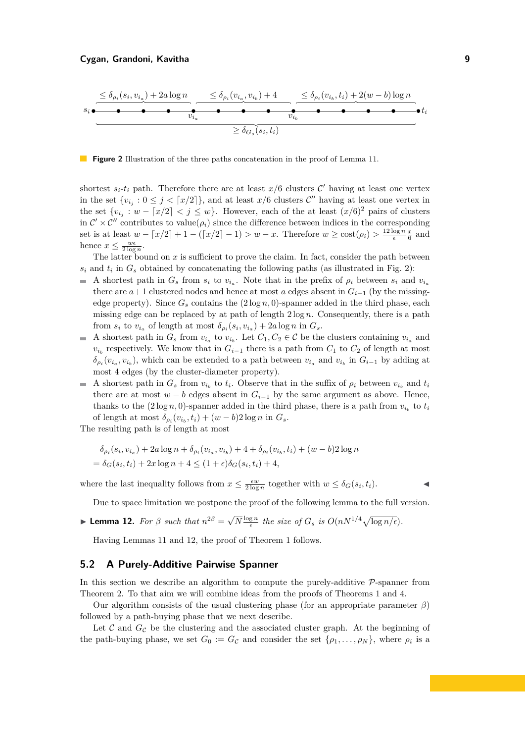<span id="page-8-1"></span>

**Figure 2** Illustration of the three paths concatenation in the proof of Lemma [11.](#page-7-3)

shortest  $s_i$ - $t_i$  path. Therefore there are at least  $x/6$  clusters  $\mathcal{C}'$  having at least one vertex in the set  $\{v_{i_j}: 0 \leq j \leq \lceil x/2 \rceil\}$ , and at least  $x/6$  clusters  $\mathcal{C}''$  having at least one vertex in the set  $\{v_{i_j}: w - [x/2] < j \leq w\}$ . However, each of the at least  $(x/6)^2$  pairs of clusters in  $\mathcal{C}' \times \mathcal{C}''$  contributes to value( $\rho_i$ ) since the difference between indices in the corresponding set is at least  $w - \lfloor x/2 \rfloor + 1 - (\lfloor x/2 \rfloor - 1) > w - x$ . Therefore  $w \ge \text{cost}(\rho_i) > \frac{12 \log n}{\epsilon} \frac{x}{6}$  and hence  $x \leq \frac{w\epsilon}{2\log n}$ .

The latter bound on  $x$  is sufficient to prove the claim. In fact, consider the path between  $s_i$  and  $t_i$  in  $G_s$  obtained by concatenating the following paths (as illustrated in Fig. [2\)](#page-8-1):

- A shortest path in  $G_s$  from  $s_i$  to  $v_{i_a}$ . Note that in the prefix of  $\rho_i$  between  $s_i$  and  $v_{i_a}$ there are  $a+1$  clustered nodes and hence at most *a* edges absent in  $G_{i-1}$  (by the missingedge property). Since  $G_s$  contains the  $(2 \log n, 0)$ -spanner added in the third phase, each missing edge can be replaced by at path of length  $2 \log n$ . Consequently, there is a path from  $s_i$  to  $v_{i_a}$  of length at most  $\delta_{\rho_i}(s_i, v_{i_a}) + 2a \log n$  in  $G_s$ .
- A shortest path in  $G_s$  from  $v_{i_a}$  to  $v_{i_b}$ . Let  $C_1, C_2 \in \mathcal{C}$  be the clusters containing  $v_{i_a}$  and  $\mathcal{L}_{\mathcal{A}}$  $v_{i_b}$  respectively. We know that in  $G_{i-1}$  there is a path from  $C_1$  to  $C_2$  of length at most  $\delta_{\rho_i}(v_{i_a}, v_{i_b})$ , which can be extended to a path between  $v_{i_a}$  and  $v_{i_b}$  in  $G_{i-1}$  by adding at most 4 edges (by the cluster-diameter property).
- A shortest path in  $G_s$  from  $v_{i_b}$  to  $t_i$ . Observe that in the suffix of  $\rho_i$  between  $v_{i_b}$  and  $t_i$ there are at most  $w - b$  edges absent in  $G_{i-1}$  by the same argument as above. Hence, thanks to the  $(2 \log n, 0)$ -spanner added in the third phase, there is a path from  $v_{i_b}$  to  $t_i$ of length at most  $\delta_{\rho_i}(v_{i_b}, t_i) + (w - b)2 \log n$  in  $G_s$ .

The resulting path is of length at most

$$
\delta_{\rho_i}(s_i, v_{i_a}) + 2a \log n + \delta_{\rho_i}(v_{i_a}, v_{i_b}) + 4 + \delta_{\rho_i}(v_{i_b}, t_i) + (w - b)2 \log n
$$
  
=  $\delta_G(s_i, t_i) + 2x \log n + 4 \le (1 + \epsilon)\delta_G(s_i, t_i) + 4$ ,

where the last inequality follows from  $x \leq \frac{\epsilon w}{2 \log n}$  together with  $w \leq \delta_G(s_i, t_i)$ .

Due to space limitation we postpone the proof of the following lemma to the full version.

<span id="page-8-2"></span>**Lemma 12.** For 
$$
\beta
$$
 such that  $n^{2\beta} = \sqrt{N} \frac{\log n}{\epsilon}$  the size of  $G_s$  is  $O(nN^{1/4}\sqrt{\log n/\epsilon})$ .

Having Lemmas [11](#page-7-3) and [12,](#page-8-2) the proof of Theorem [1](#page-1-0) follows.

## <span id="page-8-0"></span>**5.2 A Purely-Additive Pairwise Spanner**

In this section we describe an algorithm to compute the purely-additive  $\mathcal{P}$ -spanner from Theorem [2.](#page-1-2) To that aim we will combine ideas from the proofs of Theorems [1](#page-1-0) and [4.](#page-1-3)

Our algorithm consists of the usual clustering phase (for an appropriate parameter *β*) followed by a path-buying phase that we next describe.

Let  $\mathcal C$  and  $G_{\mathcal C}$  be the clustering and the associated cluster graph. At the beginning of the path-buying phase, we set  $G_0 := G_{\mathcal{C}}$  and consider the set  $\{\rho_1, \ldots, \rho_N\}$ , where  $\rho_i$  is a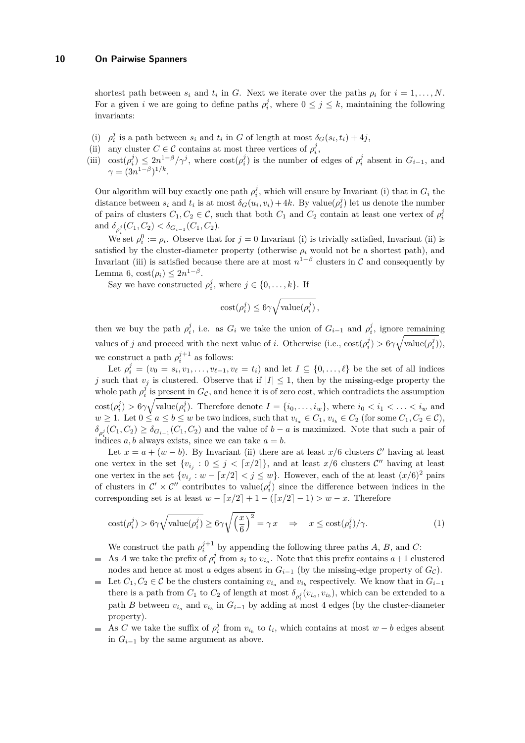shortest path between  $s_i$  and  $t_i$  in *G*. Next we iterate over the paths  $\rho_i$  for  $i = 1, \ldots, N$ . For a given *i* we are going to define paths  $\rho_i^j$ , where  $0 \leq j \leq k$ , maintaining the following invariants:

- (i)  $\rho_i^j$  is a path between  $s_i$  and  $t_i$  in *G* of length at most  $\delta_G(s_i, t_i) + 4j$ ,
- (ii) any cluster  $C \in \mathcal{C}$  contains at most three vertices of  $\rho_i^j$ ,
- (iii)  $\cot(\rho_i^j) \leq 2n^{1-\beta}/\gamma^j$ , where  $\cot(\rho_i^j)$  is the number of edges of  $\rho_i^j$  absent in  $G_{i-1}$ , and  $\gamma = (3n^{1-\beta})^{1/k}.$

Our algorithm will buy exactly one path  $\rho_i^j$ , which will ensure by Invariant (i) that in  $G_i$  the distance between  $s_i$  and  $t_i$  is at most  $\delta_G(u_i, v_i) + 4k$ . By value $(\rho_i^j)$  let us denote the number of pairs of clusters  $C_1, C_2 \in \mathcal{C}$ , such that both  $C_1$  and  $C_2$  contain at least one vertex of  $\rho_i^j$ and  $\delta_{\rho_i^j}(C_1, C_2) < \delta_{G_{i-1}}(C_1, C_2)$ .

We set  $\rho_i^0 := \rho_i$ . Observe that for  $j = 0$  Invariant (i) is trivially satisfied, Invariant (ii) is satisfied by the cluster-diameter property (otherwise  $\rho_i$  would not be a shortest path), and Invariant (iii) is satisfied because there are at most  $n^{1-\beta}$  clusters in C and consequently by Lemma [6,](#page-3-4)  $\text{cost}(\rho_i) \leq 2n^{1-\beta}$ .

Say we have constructed  $\rho_i^j$ , where  $j \in \{0, ..., k\}$ . If

<span id="page-9-0"></span>
$$
cost(\rho_i^j) \le 6\gamma \sqrt{value(\rho_i^j)},
$$

then we buy the path  $\rho_i^j$ , i.e. as  $G_i$  we take the union of  $G_{i-1}$  and  $\rho_i^j$ , ignore remaining values of *j* and proceed with the next value of *i*. Otherwise (i.e.,  $\text{cost}(\rho_i^j) > 6\gamma \sqrt{\text{value}(\rho_i^j)}$ ), we construct a path  $\rho_i^{j+1}$  as follows:

Let  $\rho_i^j = (v_0 = s_i, v_1, \dots, v_{\ell-1}, v_\ell = t_i)$  and let  $I \subseteq \{0, \dots, \ell\}$  be the set of all indices *j* such that  $v_j$  is clustered. Observe that if  $|I| \leq 1$ , then by the missing-edge property the whole path  $\rho_i^j$  is present in  $G_{\mathcal{C}}$ , and hence it is of zero cost, which contradicts the assumption  $\text{cost}(\rho_i^j) > 6\gamma \sqrt{\text{value}(\rho_i^j)}$ . Therefore denote  $I = \{i_0, \ldots, i_w\}$ , where  $i_0 < i_1 < \ldots < i_w$  and *w* ≥ 1. Let  $0 \le a \le b \le w$  be two indices, such that  $v_{i_a} \in C_1$ ,  $v_{i_b} \in C_2$  (for some  $C_1, C_2 \in \mathcal{C}$ ),  $\delta_{\rho_i^j}(C_1, C_2) \geq \delta_{G_{i-1}}(C_1, C_2)$  and the value of *b* − *a* is maximized. Note that such a pair of indices *a*, *b* always exists, since we can take  $a = b$ .

Let  $x = a + (w - b)$ . By Invariant (ii) there are at least  $x/6$  clusters C' having at least one vertex in the set  $\{v_{i_j}: 0 \leq j \leq [x/2]\}$ , and at least  $x/6$  clusters  $\mathcal{C}''$  having at least one vertex in the set  $\{v_{i_j}: w - \lceil x/2 \rceil < j \leq w\}$ . However, each of the at least  $(x/6)^2$  pairs of clusters in  $\mathcal{C}' \times \mathcal{C}''$  contributes to value $(\rho_i^j)$  since the difference between indices in the corresponding set is at least  $w - \lfloor x/2 \rfloor + 1 - (\lfloor x/2 \rfloor - 1) > w - x$ . Therefore

$$
\text{cost}(\rho_i^j) > 6\gamma \sqrt{\text{value}(\rho_i^j)} \ge 6\gamma \sqrt{\left(\frac{x}{6}\right)^2} = \gamma x \quad \Rightarrow \quad x \le \text{cost}(\rho_i^j) / \gamma. \tag{1}
$$

We construct the path  $\rho_i^{j+1}$  by appending the following three paths *A*, *B*, and *C*:

- As *A* we take the prefix of  $\rho_i^j$  from  $s_i$  to  $v_{i_a}$ . Note that this prefix contains  $a+1$  clustered nodes and hence at most *a* edges absent in  $G_{i-1}$  (by the missing-edge property of  $G_{\mathcal{C}}$ ).
- Let  $C_1, C_2 \in \mathcal{C}$  be the clusters containing  $v_{i_a}$  and  $v_{i_b}$  respectively. We know that in  $G_{i-1}$ there is a path from  $C_1$  to  $C_2$  of length at most  $\delta_{\rho_i^j}(v_{i_a}, v_{i_b})$ , which can be extended to a path *B* between  $v_{i_a}$  and  $v_{i_b}$  in  $G_{i-1}$  by adding at most 4 edges (by the cluster-diameter property).
- As *C* we take the suffix of  $\rho_i^j$  from  $v_{i_b}$  to  $t_i$ , which contains at most  $w b$  edges absent  $\blacksquare$ in  $G_{i-1}$  by the same argument as above.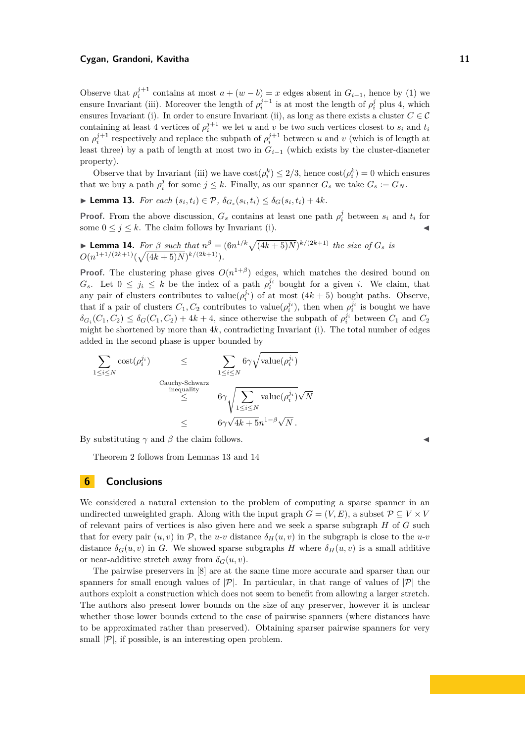#### **Cygan, Grandoni, Kavitha 11**

Observe that  $\rho_i^{j+1}$  contains at most  $a + (w - b) = x$  edges absent in  $G_{i-1}$ , hence by [\(1\)](#page-9-0) we ensure Invariant (iii). Moreover the length of  $\rho_i^{j+1}$  is at most the length of  $\rho_i^j$  plus 4, which ensures Invariant (i). In order to ensure Invariant (ii), as long as there exists a cluster  $C \in \mathcal{C}$ containing at least 4 vertices of  $\rho_i^{j+1}$  we let *u* and *v* be two such vertices closest to  $s_i$  and  $t_i$ on  $\rho_i^{j+1}$  respectively and replace the subpath of  $\rho_i^{j+1}$  between *u* and *v* (which is of length at least three) by a path of length at most two in  $G_{i-1}$  (which exists by the cluster-diameter property).

Observe that by Invariant (iii) we have  $\cos\left(\rho_i^k\right) \leq 2/3$ , hence  $\cos\left(\rho_i^k\right) = 0$  which ensures that we buy a path  $\rho_i^j$  for some  $j \leq k$ . Finally, as our spanner  $G_s$  we take  $G_s := G_N$ .

<span id="page-10-0"></span>► **Lemma 13.** *For each*  $(s_i, t_i) \in \mathcal{P}, \ \delta_{G_s}(s_i, t_i) \leq \delta_G(s_i, t_i) + 4k$ .

**Proof.** From the above discussion,  $G_s$  contains at least one path  $\rho_i^j$  between  $s_i$  and  $t_i$  for some  $0 \leq j \leq k$ . The claim follows by Invariant (i).

<span id="page-10-1"></span>**Lemma 14.** For 
$$
\beta
$$
 such that  $n^{\beta} = (6n^{1/k}\sqrt{(4k+5)N})^{k/(2k+1)}$  the size of  $G_s$  is  $O(n^{1+1/(2k+1)}(\sqrt{(4k+5)N})^{k/(2k+1)})$ .

**Proof.** The clustering phase gives  $O(n^{1+\beta})$  edges, which matches the desired bound on *G*<sub>*s*</sub>. Let  $0 \leq j_i \leq k$  be the index of a path  $\rho_i^{j_i}$  bought for a given *i*. We claim, that any pair of clusters contributes to value $(\rho_i^{j_i})$  of at most  $(4k+5)$  bought paths. Observe, that if a pair of clusters  $C_1, C_2$  contributes to value $(\rho_i^{j_i})$ , then when  $\rho_i^{j_i}$  is bought we have  $\delta_{G_i}(C_1, C_2) \leq \delta_G(C_1, C_2) + 4k + 4$ , since otherwise the subpath of  $\rho_i^{j_i}$  between  $C_1$  and  $C_2$ might be shortened by more than 4*k*, contradicting Invariant (i). The total number of edges added in the second phase is upper bounded by

$$
\begin{array}{ccc} \displaystyle\sum_{1\leq i\leq N}\mathrm{cost}(\rho_i^{j_i})&\leq&\displaystyle\sum_{1\leq i\leq N}6\gamma\sqrt{\mathrm{value}(\rho_i^{j_i})}\\&\stackrel{\text{Cauchy-Schwarz}}{\leq} &6\gamma\sqrt{\sum_{1\leq i\leq N}\mathrm{value}(\rho_i^{j_i})}\sqrt{N}\\&\leq&6\gamma\sqrt{4k+5}n^{1-\beta}\sqrt{N}\,.\end{array}
$$

By substituting  $\gamma$  and  $\beta$  the claim follows.

Theorem [2](#page-1-2) follows from Lemmas [13](#page-10-0) and [14](#page-10-1)

#### **6 Conclusions**

We considered a natural extension to the problem of computing a sparse spanner in an undirected unweighted graph. Along with the input graph  $G = (V, E)$ , a subset  $\mathcal{P} \subseteq V \times V$ of relevant pairs of vertices is also given here and we seek a sparse subgraph *H* of *G* such that for every pair  $(u, v)$  in  $\mathcal{P}$ , the *u-v* distance  $\delta_H(u, v)$  in the subgraph is close to the *u-v* distance  $\delta_G(u, v)$  in *G*. We showed sparse subgraphs *H* where  $\delta_H(u, v)$  is a small additive or near-additive stretch away from  $\delta_G(u, v)$ .

The pairwise preservers in [\[8\]](#page-11-11) are at the same time more accurate and sparser than our spanners for small enough values of  $|\mathcal{P}|$ . In particular, in that range of values of  $|\mathcal{P}|$  the authors exploit a construction which does not seem to benefit from allowing a larger stretch. The authors also present lower bounds on the size of any preserver, however it is unclear whether those lower bounds extend to the case of pairwise spanners (where distances have to be approximated rather than preserved). Obtaining sparser pairwise spanners for very small  $|\mathcal{P}|$ , if possible, is an interesting open problem.